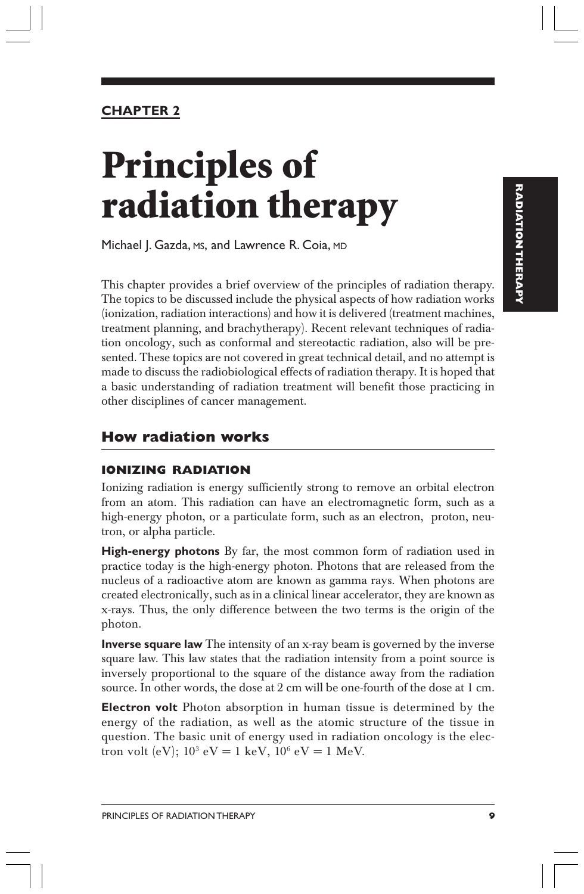## **CHAPTER 2**

# **Principles of radiation therapy**

Michael J. Gazda, MS, and Lawrence R. Coia, MD

This chapter provides a brief overview of the principles of radiation therapy. The topics to be discussed include the physical aspects of how radiation works (ionization, radiation interactions) and how it is delivered (treatment machines, treatment planning, and brachytherapy). Recent relevant techniques of radiation oncology, such as conformal and stereotactic radiation, also will be presented. These topics are not covered in great technical detail, and no attempt is made to discuss the radiobiological effects of radiation therapy. It is hoped that a basic understanding of radiation treatment will benefit those practicing in other disciplines of cancer management.

### **How radiation works**

#### **IONIZING RADIATION**

Ionizing radiation is energy sufficiently strong to remove an orbital electron from an atom. This radiation can have an electromagnetic form, such as a high-energy photon, or a particulate form, such as an electron, proton, neutron, or alpha particle.

**High-energy photons** By far, the most common form of radiation used in practice today is the high-energy photon. Photons that are released from the nucleus of a radioactive atom are known as gamma rays. When photons are created electronically, such as in a clinical linear accelerator, they are known as x-rays. Thus, the only difference between the two terms is the origin of the photon.

**Inverse square law** The intensity of an x-ray beam is governed by the inverse square law. This law states that the radiation intensity from a point source is inversely proportional to the square of the distance away from the radiation source. In other words, the dose at 2 cm will be one-fourth of the dose at 1 cm.

**Electron volt** Photon absorption in human tissue is determined by the energy of the radiation, as well as the atomic structure of the tissue in question. The basic unit of energy used in radiation oncology is the electron volt (eV);  $10^3 \text{ eV} = 1 \text{ keV}, 10^6 \text{ eV} = 1 \text{ MeV}.$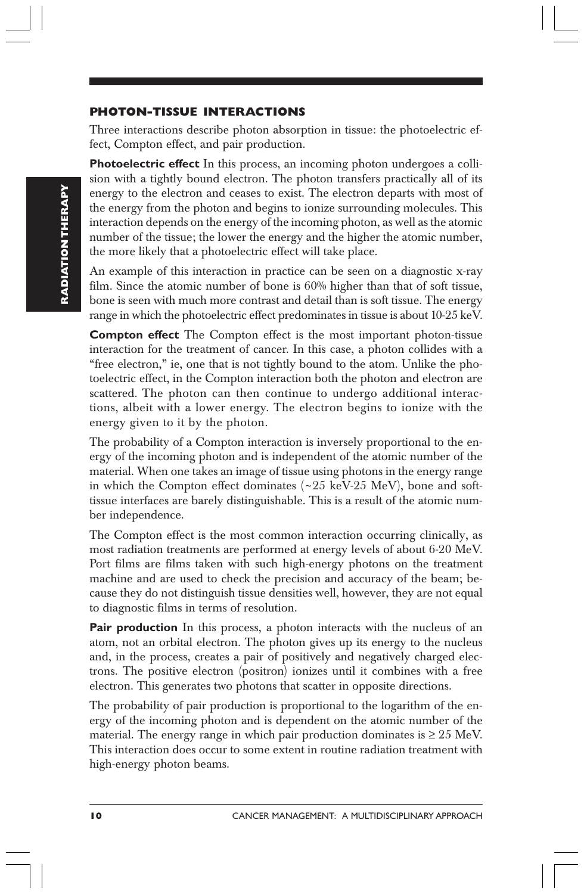#### **PHOTON-TISSUE INTERACTIONS**

Three interactions describe photon absorption in tissue: the photoelectric effect, Compton effect, and pair production.

**Photoelectric effect** In this process, an incoming photon undergoes a collision with a tightly bound electron. The photon transfers practically all of its energy to the electron and ceases to exist. The electron departs with most of the energy from the photon and begins to ionize surrounding molecules. This interaction depends on the energy of the incoming photon, as well as the atomic number of the tissue; the lower the energy and the higher the atomic number, the more likely that a photoelectric effect will take place.

An example of this interaction in practice can be seen on a diagnostic x-ray film. Since the atomic number of bone is 60% higher than that of soft tissue, bone is seen with much more contrast and detail than is soft tissue. The energy range in which the photoelectric effect predominates in tissue is about 10-25 keV.

**Compton effect** The Compton effect is the most important photon-tissue interaction for the treatment of cancer. In this case, a photon collides with a "free electron," ie, one that is not tightly bound to the atom. Unlike the photoelectric effect, in the Compton interaction both the photon and electron are scattered. The photon can then continue to undergo additional interactions, albeit with a lower energy. The electron begins to ionize with the energy given to it by the photon.

The probability of a Compton interaction is inversely proportional to the energy of the incoming photon and is independent of the atomic number of the material. When one takes an image of tissue using photons in the energy range in which the Compton effect dominates  $(-25 \text{ keV-25 MeV})$ , bone and softtissue interfaces are barely distinguishable. This is a result of the atomic number independence.

The Compton effect is the most common interaction occurring clinically, as most radiation treatments are performed at energy levels of about 6-20 MeV. Port films are films taken with such high-energy photons on the treatment machine and are used to check the precision and accuracy of the beam; because they do not distinguish tissue densities well, however, they are not equal to diagnostic films in terms of resolution.

**Pair production** In this process, a photon interacts with the nucleus of an atom, not an orbital electron. The photon gives up its energy to the nucleus and, in the process, creates a pair of positively and negatively charged electrons. The positive electron (positron) ionizes until it combines with a free electron. This generates two photons that scatter in opposite directions.

The probability of pair production is proportional to the logarithm of the energy of the incoming photon and is dependent on the atomic number of the material. The energy range in which pair production dominates is  $\geq 25$  MeV. This interaction does occur to some extent in routine radiation treatment with high-energy photon beams.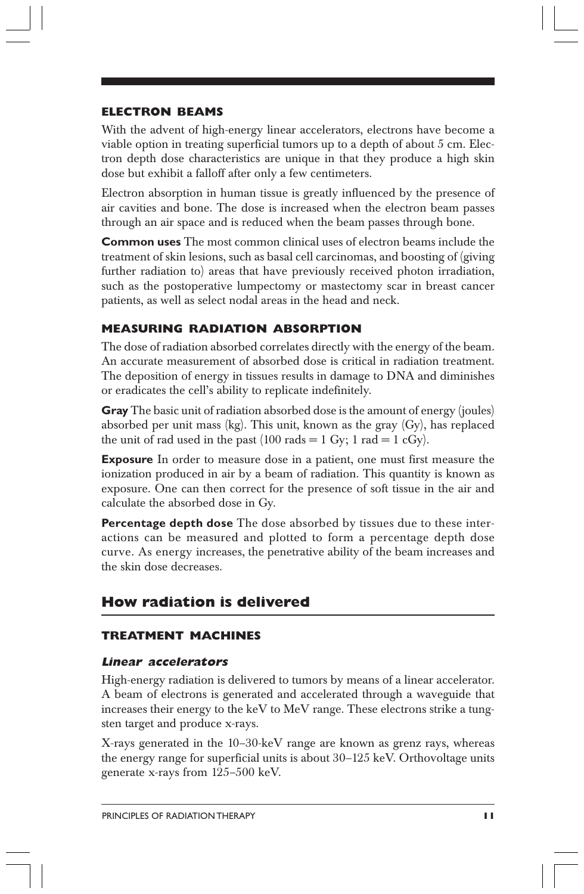#### **ELECTRON BEAMS**

With the advent of high-energy linear accelerators, electrons have become a viable option in treating superficial tumors up to a depth of about 5 cm. Electron depth dose characteristics are unique in that they produce a high skin dose but exhibit a falloff after only a few centimeters.

Electron absorption in human tissue is greatly influenced by the presence of air cavities and bone. The dose is increased when the electron beam passes through an air space and is reduced when the beam passes through bone.

**Common uses** The most common clinical uses of electron beams include the treatment of skin lesions, such as basal cell carcinomas, and boosting of (giving further radiation to) areas that have previously received photon irradiation, such as the postoperative lumpectomy or mastectomy scar in breast cancer patients, as well as select nodal areas in the head and neck.

## **MEASURING RADIATION ABSORPTION**

The dose of radiation absorbed correlates directly with the energy of the beam. An accurate measurement of absorbed dose is critical in radiation treatment. The deposition of energy in tissues results in damage to DNA and diminishes or eradicates the cell's ability to replicate indefinitely.

**Gray** The basic unit of radiation absorbed dose is the amount of energy (joules) absorbed per unit mass (kg). This unit, known as the gray (Gy), has replaced the unit of rad used in the past  $(100 \text{ rads} = 1 \text{ Gy}; 1 \text{ rad} = 1 \text{ cGy}).$ 

**Exposure** In order to measure dose in a patient, one must first measure the ionization produced in air by a beam of radiation. This quantity is known as exposure. One can then correct for the presence of soft tissue in the air and calculate the absorbed dose in Gy.

**Percentage depth dose** The dose absorbed by tissues due to these interactions can be measured and plotted to form a percentage depth dose curve. As energy increases, the penetrative ability of the beam increases and the skin dose decreases.

# **How radiation is delivered**

## **TREATMENT MACHINES**

#### **Linear accelerators**

High-energy radiation is delivered to tumors by means of a linear accelerator. A beam of electrons is generated and accelerated through a waveguide that increases their energy to the keV to MeV range. These electrons strike a tungsten target and produce x-rays.

X-rays generated in the 10–30-keV range are known as grenz rays, whereas the energy range for superficial units is about 30–125 keV. Orthovoltage units generate x-rays from 125–500 keV.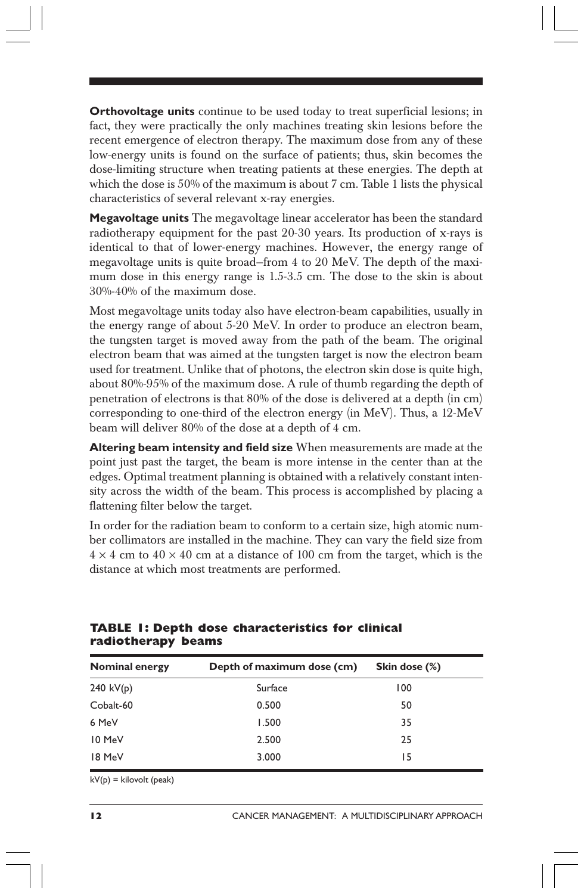**Orthovoltage units** continue to be used today to treat superficial lesions; in fact, they were practically the only machines treating skin lesions before the recent emergence of electron therapy. The maximum dose from any of these low-energy units is found on the surface of patients; thus, skin becomes the dose-limiting structure when treating patients at these energies. The depth at which the dose is 50% of the maximum is about 7 cm. Table 1 lists the physical characteristics of several relevant x-ray energies.

**Megavoltage units** The megavoltage linear accelerator has been the standard radiotherapy equipment for the past 20-30 years. Its production of x-rays is identical to that of lower-energy machines. However, the energy range of megavoltage units is quite broad—from 4 to 20 MeV. The depth of the maximum dose in this energy range is 1.5-3.5 cm. The dose to the skin is about 30%-40% of the maximum dose.

Most megavoltage units today also have electron-beam capabilities, usually in the energy range of about 5-20 MeV. In order to produce an electron beam, the tungsten target is moved away from the path of the beam. The original electron beam that was aimed at the tungsten target is now the electron beam used for treatment. Unlike that of photons, the electron skin dose is quite high, about 80%-95% of the maximum dose. A rule of thumb regarding the depth of penetration of electrons is that 80% of the dose is delivered at a depth (in cm) corresponding to one-third of the electron energy (in MeV). Thus, a 12-MeV beam will deliver 80% of the dose at a depth of 4 cm.

**Altering beam intensity and field size** When measurements are made at the point just past the target, the beam is more intense in the center than at the edges. Optimal treatment planning is obtained with a relatively constant intensity across the width of the beam. This process is accomplished by placing a flattening filter below the target.

In order for the radiation beam to conform to a certain size, high atomic number collimators are installed in the machine. They can vary the field size from  $4 \times 4$  cm to  $40 \times 40$  cm at a distance of 100 cm from the target, which is the distance at which most treatments are performed.

| <b>Nominal energy</b> | Depth of maximum dose (cm) | Skin dose (%) |  |
|-----------------------|----------------------------|---------------|--|
| 240 $kV(p)$           | Surface                    | 100           |  |
| Cobalt-60             | 0.500                      | 50            |  |
| 6 MeV                 | 1.500                      | 35            |  |
| 10 MeV                | 2.500                      | 25            |  |
| 18 MeV                | 3.000                      | 15            |  |
|                       |                            |               |  |

#### **TABLE 1: Depth dose characteristics for clinical radiotherapy beams**

 $kV(p)$  = kilovolt (peak)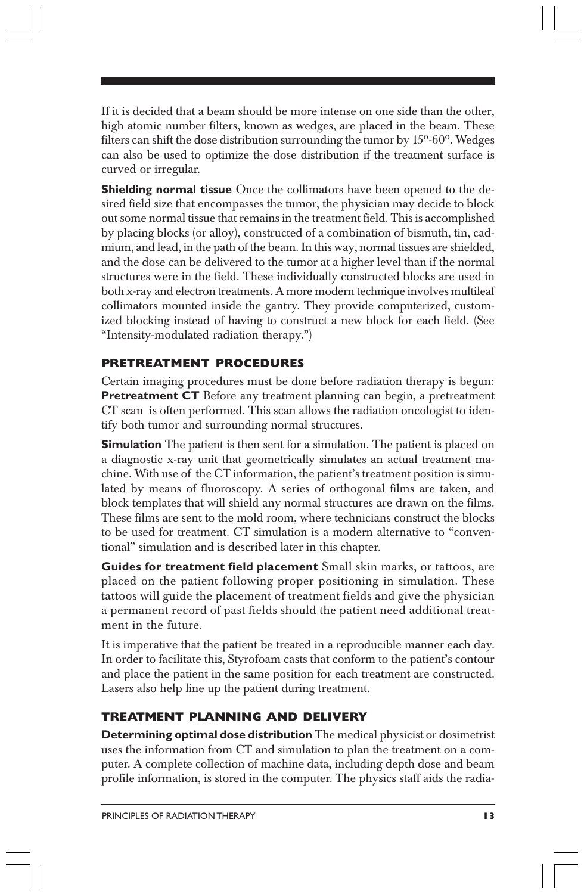If it is decided that a beam should be more intense on one side than the other, high atomic number filters, known as wedges, are placed in the beam. These filters can shift the dose distribution surrounding the tumor by 15º-60º. Wedges can also be used to optimize the dose distribution if the treatment surface is curved or irregular.

**Shielding normal tissue** Once the collimators have been opened to the desired field size that encompasses the tumor, the physician may decide to block out some normal tissue that remains in the treatment field. This is accomplished by placing blocks (or alloy), constructed of a combination of bismuth, tin, cadmium, and lead, in the path of the beam. In this way, normal tissues are shielded, and the dose can be delivered to the tumor at a higher level than if the normal structures were in the field. These individually constructed blocks are used in both x-ray and electron treatments. A more modern technique involves multileaf collimators mounted inside the gantry. They provide computerized, customized blocking instead of having to construct a new block for each field. (See "Intensity-modulated radiation therapy.")

#### **PRETREATMENT PROCEDURES**

Certain imaging procedures must be done before radiation therapy is begun: **Pretreatment CT** Before any treatment planning can begin, a pretreatment CT scan is often performed. This scan allows the radiation oncologist to identify both tumor and surrounding normal structures.

**Simulation** The patient is then sent for a simulation. The patient is placed on a diagnostic x-ray unit that geometrically simulates an actual treatment machine. With use of the CT information, the patient's treatment position is simulated by means of fluoroscopy. A series of orthogonal films are taken, and block templates that will shield any normal structures are drawn on the films. These films are sent to the mold room, where technicians construct the blocks to be used for treatment. CT simulation is a modern alternative to "conventional" simulation and is described later in this chapter.

**Guides for treatment field placement** Small skin marks, or tattoos, are placed on the patient following proper positioning in simulation. These tattoos will guide the placement of treatment fields and give the physician a permanent record of past fields should the patient need additional treatment in the future.

It is imperative that the patient be treated in a reproducible manner each day. In order to facilitate this, Styrofoam casts that conform to the patient's contour and place the patient in the same position for each treatment are constructed. Lasers also help line up the patient during treatment.

## **TREATMENT PLANNING AND DELIVERY**

**Determining optimal dose distribution** The medical physicist or dosimetrist uses the information from CT and simulation to plan the treatment on a computer. A complete collection of machine data, including depth dose and beam profile information, is stored in the computer. The physics staff aids the radia-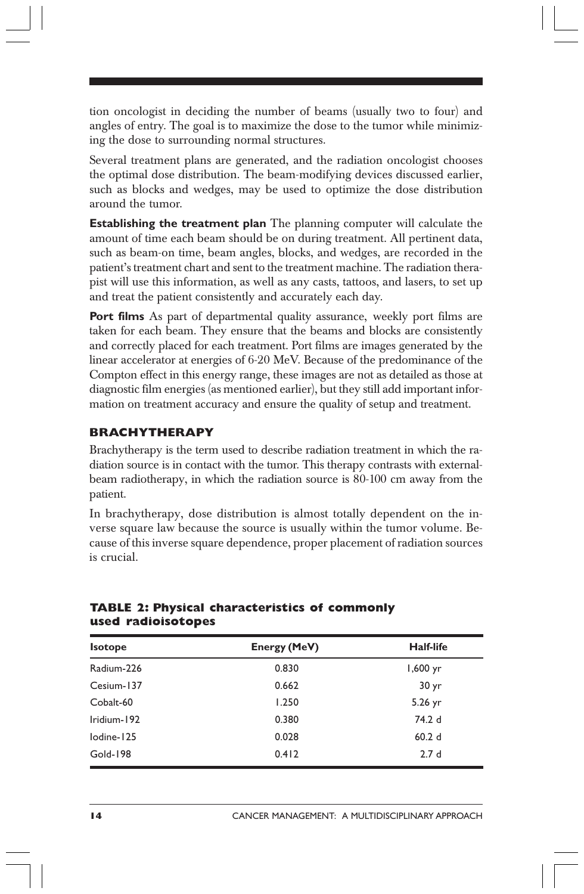tion oncologist in deciding the number of beams (usually two to four) and angles of entry. The goal is to maximize the dose to the tumor while minimizing the dose to surrounding normal structures.

Several treatment plans are generated, and the radiation oncologist chooses the optimal dose distribution. The beam-modifying devices discussed earlier, such as blocks and wedges, may be used to optimize the dose distribution around the tumor.

**Establishing the treatment plan** The planning computer will calculate the amount of time each beam should be on during treatment. All pertinent data, such as beam-on time, beam angles, blocks, and wedges, are recorded in the patient's treatment chart and sent to the treatment machine. The radiation therapist will use this information, as well as any casts, tattoos, and lasers, to set up and treat the patient consistently and accurately each day.

**Port films** As part of departmental quality assurance, weekly port films are taken for each beam. They ensure that the beams and blocks are consistently and correctly placed for each treatment. Port films are images generated by the linear accelerator at energies of 6-20 MeV. Because of the predominance of the Compton effect in this energy range, these images are not as detailed as those at diagnostic film energies (as mentioned earlier), but they still add important information on treatment accuracy and ensure the quality of setup and treatment.

#### **BRACHYTHERAPY**

Brachytherapy is the term used to describe radiation treatment in which the radiation source is in contact with the tumor. This therapy contrasts with externalbeam radiotherapy, in which the radiation source is 80-100 cm away from the patient.

In brachytherapy, dose distribution is almost totally dependent on the inverse square law because the source is usually within the tumor volume. Because of this inverse square dependence, proper placement of radiation sources is crucial.

| <b>Isotope</b> | Energy (MeV) | Half-life         |
|----------------|--------------|-------------------|
| Radium-226     | 0.830        | $1,600$ yr        |
| Cesium-137     | 0.662        | 30 <sub>yr</sub>  |
| Cobalt-60      | 1.250        | 5.26 yr           |
| Iridium-192    | 0.380        | 74.2 d            |
| lodine-125     | 0.028        | 60.2 <sub>d</sub> |
| Gold-198       | 0.412        | 2.7d              |

#### **TABLE 2: Physical characteristics of commonly used radioisotopes**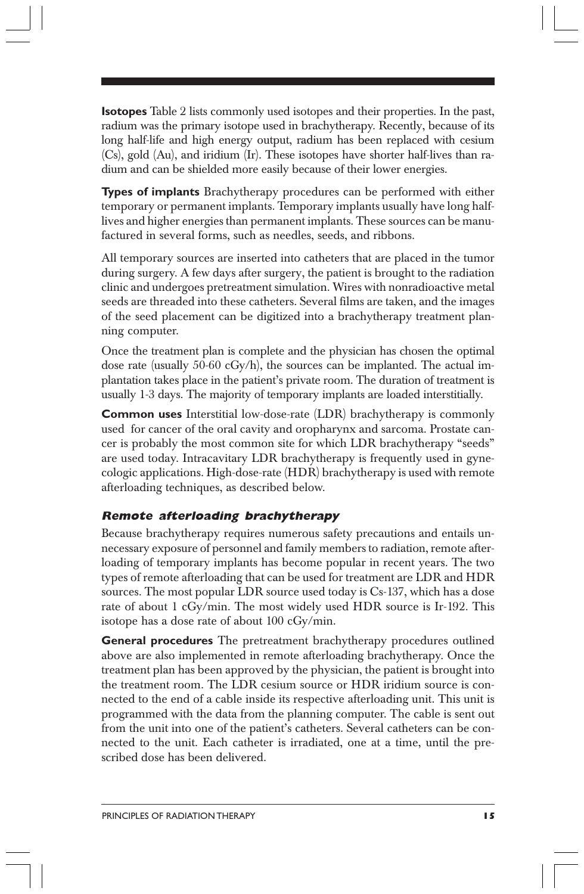**Isotopes** Table 2 lists commonly used isotopes and their properties. In the past, radium was the primary isotope used in brachytherapy. Recently, because of its long half-life and high energy output, radium has been replaced with cesium (Cs), gold (Au), and iridium (Ir). These isotopes have shorter half-lives than radium and can be shielded more easily because of their lower energies.

**Types of implants** Brachytherapy procedures can be performed with either temporary or permanent implants. Temporary implants usually have long halflives and higher energies than permanent implants. These sources can be manufactured in several forms, such as needles, seeds, and ribbons.

All temporary sources are inserted into catheters that are placed in the tumor during surgery. A few days after surgery, the patient is brought to the radiation clinic and undergoes pretreatment simulation. Wires with nonradioactive metal seeds are threaded into these catheters. Several films are taken, and the images of the seed placement can be digitized into a brachytherapy treatment planning computer.

Once the treatment plan is complete and the physician has chosen the optimal dose rate (usually 50-60 cGy/h), the sources can be implanted. The actual implantation takes place in the patient's private room. The duration of treatment is usually 1-3 days. The majority of temporary implants are loaded interstitially.

**Common uses** Interstitial low-dose-rate (LDR) brachytherapy is commonly used for cancer of the oral cavity and oropharynx and sarcoma. Prostate cancer is probably the most common site for which LDR brachytherapy "seeds" are used today. Intracavitary LDR brachytherapy is frequently used in gynecologic applications. High-dose-rate (HDR) brachytherapy is used with remote afterloading techniques, as described below.

## **Remote afterloading brachytherapy**

Because brachytherapy requires numerous safety precautions and entails unnecessary exposure of personnel and family members to radiation, remote afterloading of temporary implants has become popular in recent years. The two types of remote afterloading that can be used for treatment are LDR and HDR sources. The most popular LDR source used today is Cs-137, which has a dose rate of about 1 cGy/min. The most widely used HDR source is Ir-192. This isotope has a dose rate of about 100 cGy/min.

**General procedures** The pretreatment brachytherapy procedures outlined above are also implemented in remote afterloading brachytherapy. Once the treatment plan has been approved by the physician, the patient is brought into the treatment room. The LDR cesium source or HDR iridium source is connected to the end of a cable inside its respective afterloading unit. This unit is programmed with the data from the planning computer. The cable is sent out from the unit into one of the patient's catheters. Several catheters can be connected to the unit. Each catheter is irradiated, one at a time, until the prescribed dose has been delivered.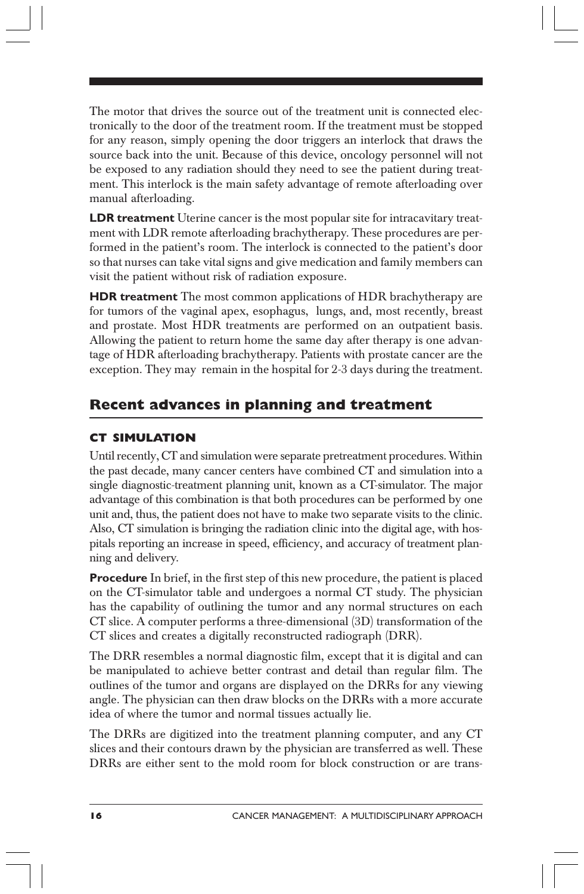The motor that drives the source out of the treatment unit is connected electronically to the door of the treatment room. If the treatment must be stopped for any reason, simply opening the door triggers an interlock that draws the source back into the unit. Because of this device, oncology personnel will not be exposed to any radiation should they need to see the patient during treatment. This interlock is the main safety advantage of remote afterloading over manual afterloading.

**LDR treatment** Uterine cancer is the most popular site for intracavitary treatment with LDR remote afterloading brachytherapy. These procedures are performed in the patient's room. The interlock is connected to the patient's door so that nurses can take vital signs and give medication and family members can visit the patient without risk of radiation exposure.

**HDR treatment** The most common applications of HDR brachytherapy are for tumors of the vaginal apex, esophagus, lungs, and, most recently, breast and prostate. Most HDR treatments are performed on an outpatient basis. Allowing the patient to return home the same day after therapy is one advantage of HDR afterloading brachytherapy. Patients with prostate cancer are the exception. They may remain in the hospital for 2-3 days during the treatment.

# **Recent advances in planning and treatment**

## **CT SIMULATION**

Until recently, CT and simulation were separate pretreatment procedures. Within the past decade, many cancer centers have combined CT and simulation into a single diagnostic-treatment planning unit, known as a CT-simulator. The major advantage of this combination is that both procedures can be performed by one unit and, thus, the patient does not have to make two separate visits to the clinic. Also, CT simulation is bringing the radiation clinic into the digital age, with hospitals reporting an increase in speed, efficiency, and accuracy of treatment planning and delivery.

**Procedure** In brief, in the first step of this new procedure, the patient is placed on the CT-simulator table and undergoes a normal CT study. The physician has the capability of outlining the tumor and any normal structures on each CT slice. A computer performs a three-dimensional (3D) transformation of the CT slices and creates a digitally reconstructed radiograph (DRR).

The DRR resembles a normal diagnostic film, except that it is digital and can be manipulated to achieve better contrast and detail than regular film. The outlines of the tumor and organs are displayed on the DRRs for any viewing angle. The physician can then draw blocks on the DRRs with a more accurate idea of where the tumor and normal tissues actually lie.

The DRRs are digitized into the treatment planning computer, and any CT slices and their contours drawn by the physician are transferred as well. These DRRs are either sent to the mold room for block construction or are trans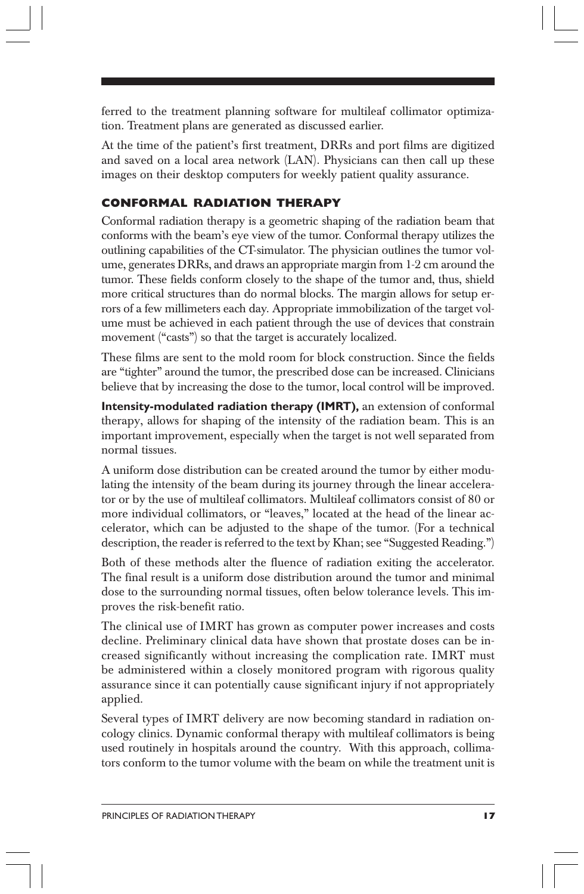ferred to the treatment planning software for multileaf collimator optimization. Treatment plans are generated as discussed earlier.

At the time of the patient's first treatment, DRRs and port films are digitized and saved on a local area network (LAN). Physicians can then call up these images on their desktop computers for weekly patient quality assurance.

## **CONFORMAL RADIATION THERAPY**

Conformal radiation therapy is a geometric shaping of the radiation beam that conforms with the beam's eye view of the tumor. Conformal therapy utilizes the outlining capabilities of the CT-simulator. The physician outlines the tumor volume, generates DRRs, and draws an appropriate margin from 1-2 cm around the tumor. These fields conform closely to the shape of the tumor and, thus, shield more critical structures than do normal blocks. The margin allows for setup errors of a few millimeters each day. Appropriate immobilization of the target volume must be achieved in each patient through the use of devices that constrain movement ("casts") so that the target is accurately localized.

These films are sent to the mold room for block construction. Since the fields are "tighter" around the tumor, the prescribed dose can be increased. Clinicians believe that by increasing the dose to the tumor, local control will be improved.

**Intensity-modulated radiation therapy (IMRT),** an extension of conformal therapy, allows for shaping of the intensity of the radiation beam. This is an important improvement, especially when the target is not well separated from normal tissues.

A uniform dose distribution can be created around the tumor by either modulating the intensity of the beam during its journey through the linear accelerator or by the use of multileaf collimators. Multileaf collimators consist of 80 or more individual collimators, or "leaves," located at the head of the linear accelerator, which can be adjusted to the shape of the tumor. (For a technical description, the reader is referred to the text by Khan; see "Suggested Reading.")

Both of these methods alter the fluence of radiation exiting the accelerator. The final result is a uniform dose distribution around the tumor and minimal dose to the surrounding normal tissues, often below tolerance levels. This improves the risk-benefit ratio.

The clinical use of IMRT has grown as computer power increases and costs decline. Preliminary clinical data have shown that prostate doses can be increased significantly without increasing the complication rate. IMRT must be administered within a closely monitored program with rigorous quality assurance since it can potentially cause significant injury if not appropriately applied.

Several types of IMRT delivery are now becoming standard in radiation oncology clinics. Dynamic conformal therapy with multileaf collimators is being used routinely in hospitals around the country. With this approach, collimators conform to the tumor volume with the beam on while the treatment unit is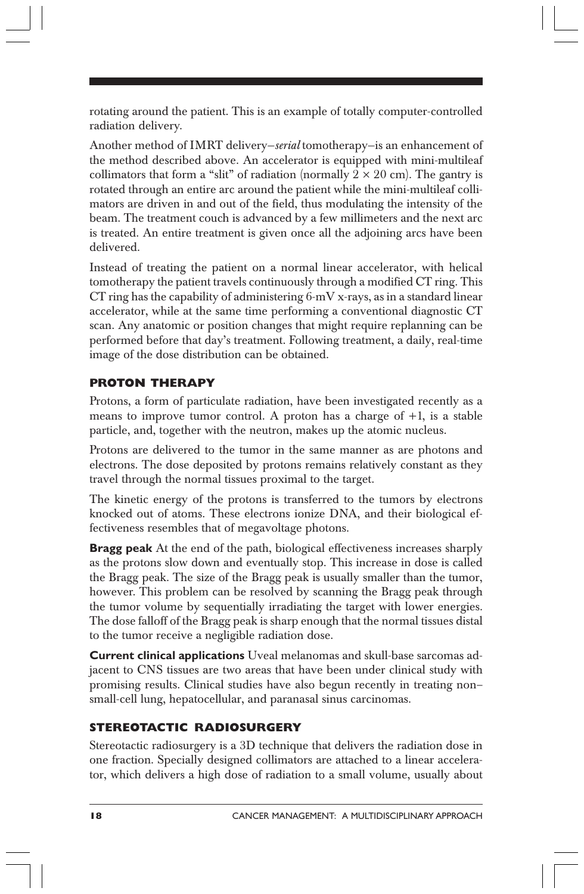rotating around the patient. This is an example of totally computer-controlled radiation delivery.

Another method of IMRT delivery—*serial* tomotherapy—is an enhancement of the method described above. An accelerator is equipped with mini-multileaf collimators that form a "slit" of radiation (normally  $2 \times 20$  cm). The gantry is rotated through an entire arc around the patient while the mini-multileaf collimators are driven in and out of the field, thus modulating the intensity of the beam. The treatment couch is advanced by a few millimeters and the next arc is treated. An entire treatment is given once all the adjoining arcs have been delivered.

Instead of treating the patient on a normal linear accelerator, with helical tomotherapy the patient travels continuously through a modified CT ring. This CT ring has the capability of administering 6-mV x-rays, as in a standard linear accelerator, while at the same time performing a conventional diagnostic CT scan. Any anatomic or position changes that might require replanning can be performed before that day's treatment. Following treatment, a daily, real-time image of the dose distribution can be obtained.

## **PROTON THERAPY**

Protons, a form of particulate radiation, have been investigated recently as a means to improve tumor control. A proton has a charge of  $+1$ , is a stable particle, and, together with the neutron, makes up the atomic nucleus.

Protons are delivered to the tumor in the same manner as are photons and electrons. The dose deposited by protons remains relatively constant as they travel through the normal tissues proximal to the target.

The kinetic energy of the protons is transferred to the tumors by electrons knocked out of atoms. These electrons ionize DNA, and their biological effectiveness resembles that of megavoltage photons.

**Bragg peak** At the end of the path, biological effectiveness increases sharply as the protons slow down and eventually stop. This increase in dose is called the Bragg peak. The size of the Bragg peak is usually smaller than the tumor, however. This problem can be resolved by scanning the Bragg peak through the tumor volume by sequentially irradiating the target with lower energies. The dose falloff of the Bragg peak is sharp enough that the normal tissues distal to the tumor receive a negligible radiation dose.

**Current clinical applications** Uveal melanomas and skull-base sarcomas adjacent to CNS tissues are two areas that have been under clinical study with promising results. Clinical studies have also begun recently in treating non– small-cell lung, hepatocellular, and paranasal sinus carcinomas.

#### **STEREOTACTIC RADIOSURGERY**

Stereotactic radiosurgery is a 3D technique that delivers the radiation dose in one fraction. Specially designed collimators are attached to a linear accelerator, which delivers a high dose of radiation to a small volume, usually about